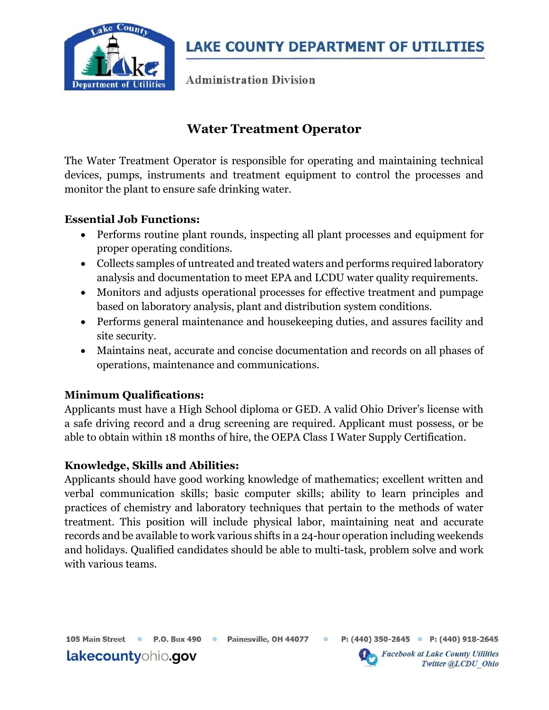

**LAKE COUNTY DEPARTMENT OF UTILITIES** 

**Administration Division** 

# Water Treatment Operator

The Water Treatment Operator is responsible for operating and maintaining technical devices, pumps, instruments and treatment equipment to control the processes and monitor the plant to ensure safe drinking water.

#### Essential Job Functions:

- Performs routine plant rounds, inspecting all plant processes and equipment for proper operating conditions.
- Collects samples of untreated and treated waters and performs required laboratory analysis and documentation to meet EPA and LCDU water quality requirements.
- Monitors and adjusts operational processes for effective treatment and pumpage based on laboratory analysis, plant and distribution system conditions.
- Performs general maintenance and housekeeping duties, and assures facility and site security.
- Maintains neat, accurate and concise documentation and records on all phases of operations, maintenance and communications.

# Minimum Qualifications:

lakecountyohio.gov

Applicants must have a High School diploma or GED. A valid Ohio Driver's license with a safe driving record and a drug screening are required. Applicant must possess, or be able to obtain within 18 months of hire, the OEPA Class I Water Supply Certification.

#### Knowledge, Skills and Abilities:

Applicants should have good working knowledge of mathematics; excellent written and verbal communication skills; basic computer skills; ability to learn principles and practices of chemistry and laboratory techniques that pertain to the methods of water treatment. This position will include physical labor, maintaining neat and accurate records and be available to work various shifts in a 24-hour operation including weekends and holidays. Qualified candidates should be able to multi-task, problem solve and work with various teams.

105 Main Street · P.O. Box 490 · Painesville, OH 44077

 $\circ$ 



**Facebook at Lake County Utilities** Twitter @LCDU Ohio

P: (440) 350-2645 • P: (440) 918-2645